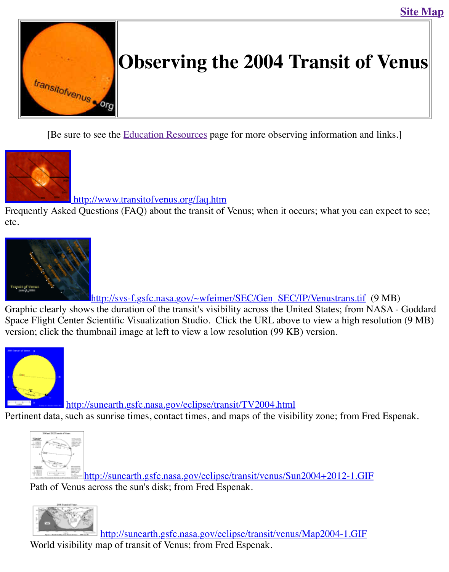

[\[Be sure to see th](http://old.transitofvenus.org/index.htm)e **Education Resources** page for more observing information and li



## http://www.transitofvenus.org/faq.htm

Frequently Asked Questions [\(FAQ\) about the trans](http://old.transitofvenus.org/educ.htm)it of Venus; when it occurs; what you can expect to etc.



http://svs-f.gsfc.nasa.gov/~wfeimer/SEC/Gen\_SEC/IP/Venustrans.tif (9 Graphic clearly shows the duration of the transit's visibility across the United States; from NA [Space Flight Center S](http://old.transitofvenus.org/visibility.gif)cientific Visualization Studio. Click the URL above to view a high resol version; click the thumbnail image at left to view a low resolution (99 KB) version.



http://sunearth.gsfc.nasa.gov/eclipse/transit/TV2004.html

Pertinent data, such as sunrise times, contact times, and maps of the visibility zone; from Fred



http://sunearth.gsfc.nasa.gov/eclipse/transit/venus/Sun2004+2012-1.GIF [Path of V](http://sunearth.gsfc.nasa.gov/eclipse/transit/TV2004/TV2004-Sun1b.GIF)[enus across the sun's disk; from Fred Espenak.](http://sunearth.gsfc.nasa.gov/eclipse/transit/TV2004.html)



[http://sunearth.gsfc.nasa.gov/eclipse/transit/venus/Map2004-1.GIF](http://sunearth.gsfc.nasa.gov/eclipse/transit/venus/Sun2004+2012-1.GIF) World visibility map of transit of Venus; from Fred Espenak.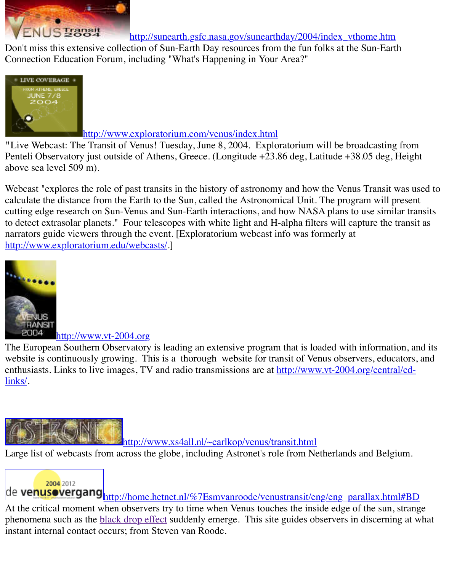

#### http://www.exploratorium.com/venus/index.html

"Live Webcast: The Transit of Venus! Tuesday, June 8, 2004. Exploratorium will be broadcas Penteli Observatory just outside of Athens, Greece. (Longitude +23.86 deg, Latitude +38.05 deg [above sea level 509](http://www.exploratorium.com/venus/index.html) m).

Webcast "explores the role of past transits in the history of astronomy and how the Venus Tran calculate the distance from the Earth to the Sun, called the Astronomical Unit. The program w cutting edge resear[ch on Sun-Venus and Sun-Earth interactions, and h](http://www.exploratorium.com/venus/index.html)ow NASA plans to use similar transits. to detect extrasolar planets." Four telescopes with white light and H-alpha filters will capture to narrators guide viewers through the event. [Exploratorium webcast info was formerly at http://www.exploratorium.edu/webcasts/.]



## http://www.vt-2004.org

[The Europea](http://www.eso.org/outreach/eduoff/vt-2004/index.html)n Southern Observatory is leading an extensive program that is loaded with inform website is continuously growing. This is a thorough website for transit of Venus observers, e enthusiasts. Links to live images, TV and radio transmissions are at http://www.vt-2004.org/central links/.



http://www.xs4all.nl/~carlkop/venus/transit.html

Large list of webcasts from across the globe, including Astronet's role from Netherlands and B

# 2004 2012

de venusovergang http://home.hetnet.nl/%7Esmvanroode/venustransit/eng/eng\_parallax. [At the critical moment when observers try to time when Venus touches the insi](http://www.xs4all.nl/~carlkop/venus/transit.html)de edge of the s phenomena such as the **black drop effect** suddenly emerge. This site guides observers in disce instant internal contact occurs; from Steven van Roode.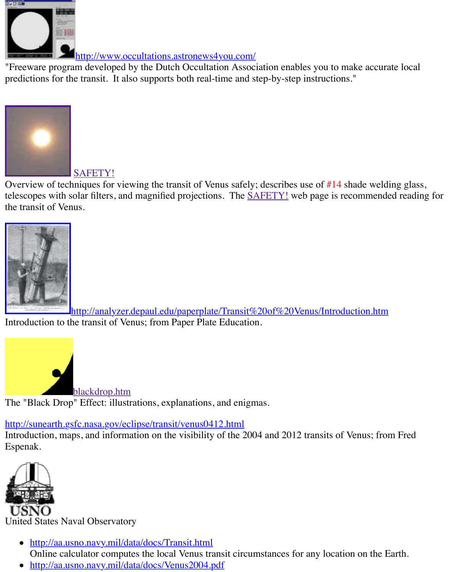[predictions for the transit. It also supports both real-time and st](http://www.occultations.astronews4you.com/)ep-by-step instructions."



## SAFETY!

Overview of techniques for viewing the transit of Venus safely; describes use of  $#14$  shade we [telescopes with s](http://old.transitofvenus.org/safety.htm)olar filters, and magnified projections. The **SAFETY!** web page is recommen the transit of Venus.



http://analyzer.depaul.edu/paperplate/Transit%20of%20Venus/Introduction.ht Introduction to the transit of Venus; from Paper Plate Education.



blackdrop.htm The "Black Drop" Effect: illustrations, explanations, and enigmas.

## [http://sunearth.gsfc.nasa.gov/ec](http://old.transitofvenus.org/blackdrop.htm)lipse/transit/venus0412.html

Introduction, maps, and information on the visibility of the 2004 and 2012 transits of Venus; from Espenak.



United States Naval Observatory

- http://aa.usno.navy.mil/data/docs/Transit.html [Online](http://www.usno.navy.mil/) calculator computes the local Venus transit circumstances for any location on the
- http://aa.usno.navy.mil/data/docs/Venus2004.pdf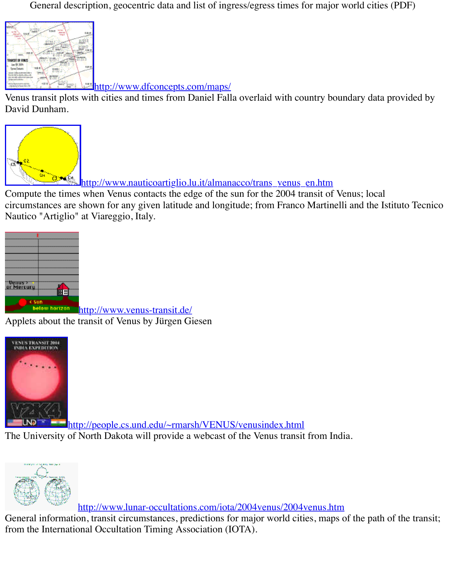http://www.dfconcepts.com/maps/

[Venus transit plots with cities and times from Daniel Fall](http://www.dfconcepts.com/maps/)a overlaid with country boundary data David Dunham.



http://www.nauticoartiglio.lu.it/almanacco/trans\_venus\_en.htm

Compute the times when Venus contacts the edge of the sun for the 2004 transit of Venus; local [circumstances are shown for any given latitude and longitude; from Franco Martin](http://www.nauticoartiglio.lu.it/almanacco/trans_venus_en.htm)elli and the Nautico "Artiglio" at Viareggio, Italy.



hetow horizon http://www.venus-transit.de/ Applets about the transit of Venus by Jürgen Giesen



http://people.cs.und.edu/~rmarsh/VENUS/venusindex.html

[The University of North Dakota will provide a webcast of the Venus transit](http://people.cs.und.edu/~rmarsh/VENUS/venusindex.html) from India.



http://www.lunar-occultations.com/iota/2004venus/2004venus.htm

General information, transit circumstances, predictions for major world cities, maps of the patl from the International Occultation Timing Association (IOTA).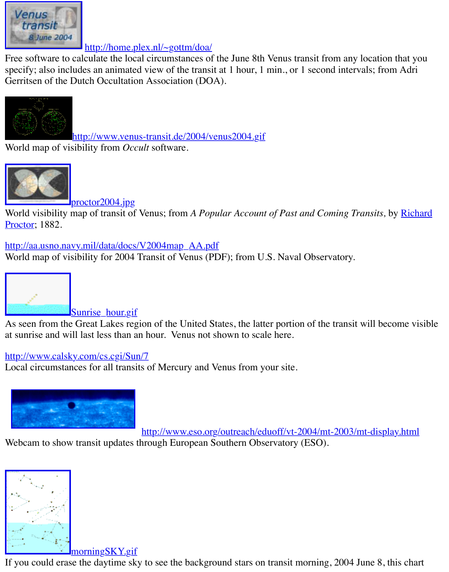[Gerritsen of the Dut](http://home.plex.nl/~gottm/doa/software/VenusTransit2004.zip)ch Occultation Association (DOA).



http://www.venus-transit.de/2004/venus2004.gif

World map of visibility from *Occult* software.



proctor2004.jpg

[World visibility map of transit of Venus; from](http://www.venus-transit.de/2004/venus2004.gif) *A Popular Account of Past and Coming Transits* Proctor; 1882.

[http://aa.usno.navy.mil/data/docs](http://old.transitofvenus.org/proctor2004.jpg)/V2004map\_AA.pdf

World map of visibility for 2004 Transit of Venus (PDF); from U.S. Naval Observatory.



[As seen from the Great Lakes region of the United Sta](http://aa.usno.navy.mil/data/docs/V2004map_AA.pdf)tes, the latter portion of the transit will be at sunrise and will last less than an hour. Venus not shown to scale here.

## [http://www.calsky.com/cs.cgi/Sun](http://old.transitofvenus.org/Sunrise_hour.gif)/7

Local circumstances for all transits of Mercury and Venus from your site.



http://www.eso.org/outreach/eduoff/vt-2004/mt-2003/mt-dis

[Webcam to show transit updates thro](http://www.calsky.com/cs.cgi/Sun/7)ugh European Southern Observatory (ESO).



#### morningSKY.gif

[If you could erase the daytime sk](http://old.transitofvenus.org/morningSKY.gif)y to see the background stars on transit morning, 2004 June 8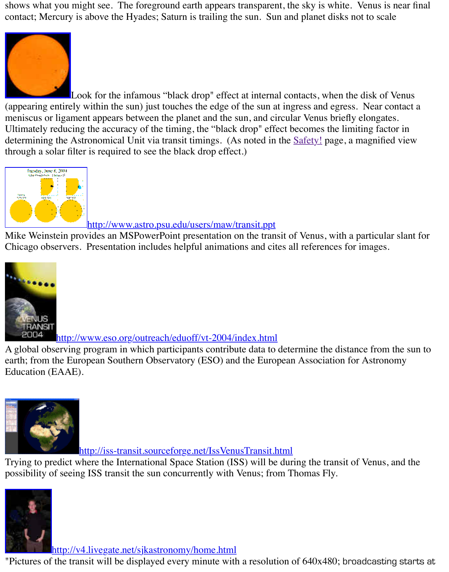

through a solar filter is required to see the black drop effect.)



### http://www.astro.psu.edu/users/maw/transit.ppt

Mike Weinstein provides an MSPowerPoint presentation on the transit of Venus, with a particular slant for the slant for slant for  $m$ [Chicago observers. Presentation includes helpful animations and cit](http://www.astro.psu.edu/users/maw/transit.ppt)es all references for image



http://www.eso.org/outreach/eduoff/vt-2004/index.html

[A global observing program in which participants contribute data to](http://www.eso.org/outreach/eduoff/vt-2004/index.html) determine the distance from earth; from the European Southern Observatory (ESO) and the European Association for Astro Education (EAAE).



http://iss-transit.sourceforge.net/IssVenusTransit.html

Trying to predict where the International Space Station (ISS) will be during the transit of Venus [possibility of seeing ISS transit the sun concurrently with Venus; from T](http://iss-transit.sourceforge.net/IssVenusTransit.html)homas Fly.



http://v4.livegate.net/sjkastronomy/home.html

"Pictures of the transit will be displayed every minute with a resolution of  $640x480$ ; broadcas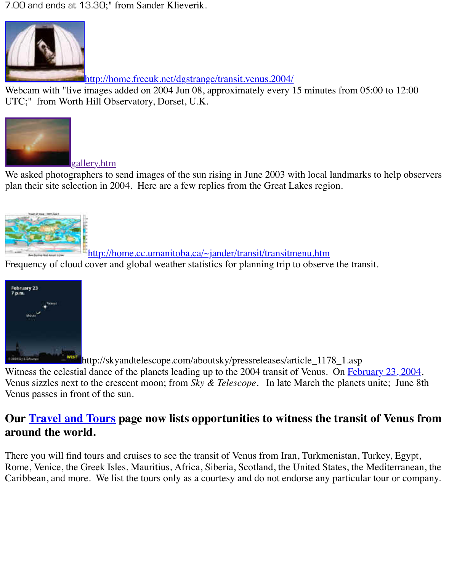http://home.freeuk.net/dgstrange/transit.venus.2004/

Webcam with "live images added on 2004 Jun 08, approximately every 15 minutes from 05:00 [UTC;" from Worth Hill Observatory, Dorset, U.K.](http://home.freeuk.net/dgstrange/transit.venus.2004/)



gallery.htm We asked photographers to send images of the sun rising in June 2003 with local landmarks to plan their site selection in 2004. Here are a few replies from the Great Lakes region.



http://home.cc.umanitoba.ca/~jander/transit/transitmenu.htm

Frequency of cloud cover and global weather statistics for planning trip to observe the transit.



http://skyandtelescope.com/aboutsky/pressreleases/article\_1178\_1.asp Witness the celestial dance of the planets leading up to the 2004 transit of Venus. On February Venus sizzles next to the crescent moon; from *Sky & Telescope*. In late March the planets unit Venus passes in front of the sun.

# **[Our Travel and](ftp://ftp.skyandtelescope.com/moonvenus/MoonVenus2004Feb23.jpg) Tours page now lists opportunities to witness the transit of around the world.**

There you will find tours and cruises to see the transit of Venus from Iran, Turkmenistan, Turk Rome, Venice, the Greek Isles, Mauritius, Africa, Siberia, Scotland, the United States, the Mediterranean, the Caribbean, and more. We list the tours only as a courtesy and do not endorse any particular to